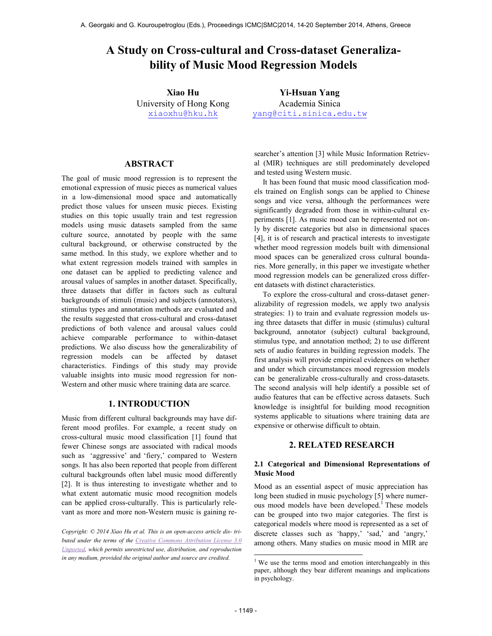# **A Study on Cross-cultural and Cross-dataset Generalizability of Mu**

**Xiao Hu**  University of Hong Kong xiaoxhu@hku.hk

Academia Sinica yang@citi.sinica.edu.tw

# **ABSTRACT**

**Example 10** A Georgaki and G. Kouroupetroglou (Eds.). Proceedings CMC|SMC|2014. 14-20 September 2014<br> **Six Comparison And Cross-cultural and Cross-dataset Gem**<br> **Six Comparison Models**<br> **Six Comparison Models Axia DII**<br> The goal of music mood regression is to represent the emotional expression of music pieces as numerical values in a low-dimensional mood space and automatically predict those values for unseen music pieces. Existing studies on this topic usually train and test regression models using music datasets sampled from the same culture source, annotated by people with the same cultural background, or otherwise constructed by the same method. In this study, we explore whether and to what extent regression models trained with samples in one dataset can be applied to predicting valence and arousal values of samples in another dataset. Specifically, three datasets that differ in factors such as cultural backgrounds of stimuli (music) and subjects (annotators), stimulus types and annotation methods are evaluated and the results suggested that cross-cultural and cross-dataset predictions of both valence and arousal values could achieve comparable performance to within-dataset predictions. We also discuss how the generalizability of regression models can be affected by dataset characteristics. Findings of this study may provide valuable insights into music mood regression for non-Western and other music where training data are scarce.

# **1. INTRODUCTION**

Music from different cultural backgrounds may have different mood profiles. For example, a recent study on cross-cultural music mood classification [1] found that fewer Chinese songs are associated with radical moods such as 'aggressive' and 'fiery,' compared to Western songs. It has also been reported that people from different cultural backgrounds often label music mood differently [2]. It is thus interesting to investigate whether and to what extent automatic music mood recognition models can be applied cross-culturally. This is particularly relevant as more and more non-Western music is gaining re-

*Copyright: © 2014 Xiao Hu et al. This is an open-access article dis- tributed under the terms of the Creative Commons Attribution License 3.0 Unported, which permits unrestricted use, distribution, and reproduction in any medium, provided the original author and source are credited.* 

searcher's attention [3] while Music Information Retrieval (MIR) techniques are still predominately developed and tested using Western music.

It has been found that music mood classification models trained on English songs can be applied to Chinese songs and vice versa, although the performances were significantly degraded from those in within-cultural experiments [1]. As music mood can be represented not only by discrete categories but also in dimensional spaces [4], it is of research and practical interests to investigate whether mood regression models built with dimensional mood spaces can be generalized cross cultural boundaries. More generally, in this paper we investigate whether mood regression models can be generalized cross different datasets with distinct characteristics.

To explore the cross-cultural and cross-dataset generalizability of regression models, we apply two analysis strategies: 1) to train and evaluate regression models using three datasets that differ in music (stimulus) cultural background, annotator (subject) cultural background, stimulus type, and annotation method; 2) to use different sets of audio features in building regression models. The first analysis will provide empirical evidences on whether and under which circumstances mood regression models can be generalizable cross-culturally and cross-datasets. The second analysis will help identify a possible set of audio features that can be effective across datasets. Such knowledge is insightful for building mood recognition systems applicable to situations where training data are expensive or otherwise difficult to obtain.

## **2. RELATED RESEARCH**

## **2.1 Categorical and Dimensional Representations of Music Mood**

Mood as an essential aspect of music appreciation has long been studied in music psychology [5] where numerous mood models have been developed.<sup>1</sup> These models can be grouped into two major categories. The first is categorical models where mood is represented as a set of discrete classes such as 'happy,' 'sad,' and 'angry,' among others. Many studies on music mood in MIR are

-

<sup>&</sup>lt;sup>1</sup> We use the terms mood and emotion interchangeably in this paper, although they bear different meanings and implications in psychology.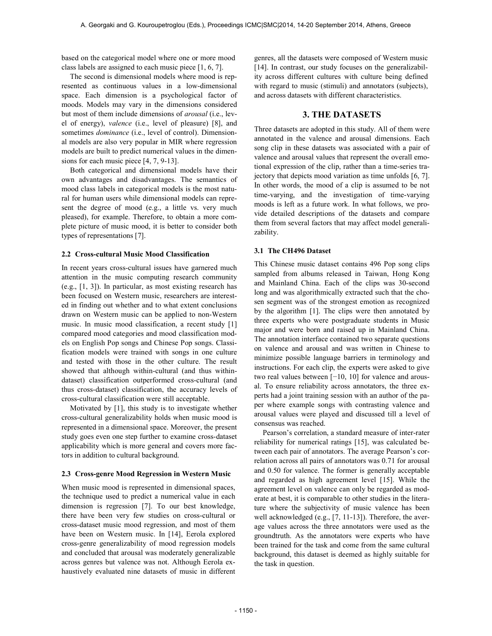based on the categorical model where one or more mood class labels are assigned to each music piece [1, 6, 7].

The second is dimensional models where mood is represented as continuous values in a low-dimensional space. Each dimension is a psychological factor of moods. Models may vary in the dimensions considered but most of them include dimensions of *arousal* (i.e., level of energy), *valence* (i.e., level of pleasure) [8], and sometimes *dominance* (i.e., level of control). Dimensional models are also very popular in MIR where regression models are built to predict numerical values in the dimensions for each music piece [4, 7, 9-13].

Both categorical and dimensional models have their own advantages and disadvantages. The semantics of mood class labels in categorical models is the most natural for human users while dimensional models can represent the degree of mood (e.g., a little vs. very much pleased), for example. Therefore, to obtain a more complete picture of music mood, it is better to consider both types of representations [7].

#### **2.2 Cross-cultural Music Mood Classification**

In recent years cross-cultural issues have garnered much attention in the music computing research community (e.g., [1, 3]). In particular, as most existing research has been focused on Western music, researchers are interested in finding out whether and to what extent conclusions drawn on Western music can be applied to non-Western music. In music mood classification, a recent study [1] compared mood categories and mood classification models on English Pop songs and Chinese Pop songs. Classification models were trained with songs in one culture and tested with those in the other culture. The result showed that although within-cultural (and thus withindataset) classification outperformed cross-cultural (and thus cross-dataset) classification, the accuracy levels of cross-cultural classification were still acceptable.

Motivated by [1], this study is to investigate whether cross-cultural generalizability holds when music mood is represented in a dimensional space. Moreover, the present study goes even one step further to examine cross-dataset applicability which is more general and covers more factors in addition to cultural background.

#### **2.3 Cross-genre Mood Regression in Western Music**

When music mood is represented in dimensional spaces, the technique used to predict a numerical value in each dimension is regression [7]. To our best knowledge, there have been very few studies on cross-cultural or cross-dataset music mood regression, and most of them have been on Western music. In [14], Eerola explored cross-genre generalizability of mood regression models and concluded that arousal was moderately generalizable across genres but valence was not. Although Eerola exhaustively evaluated nine datasets of music in different

genres, all the datasets were composed of Western music [14]. In contrast, our study focuses on the generalizability across different cultures with culture being defined with regard to music (stimuli) and annotators (subjects), and across datasets with different characteristics.

# **3. THE DATASETS**

Three datasets are adopted in this study. All of them were annotated in the valence and arousal dimensions. Each song clip in these datasets was associated with a pair of valence and arousal values that represent the overall emotional expression of the clip, rather than a time-series trajectory that depicts mood variation as time unfolds [6, 7]. In other words, the mood of a clip is assumed to be not time-varying, and the investigation of time-varying moods is left as a future work. In what follows, we provide detailed descriptions of the datasets and compare them from several factors that may affect model generalizability.

# **3.1 The CH496 Dataset**

This Chinese music dataset contains 496 Pop song clips sampled from albums released in Taiwan, Hong Kong and Mainland China. Each of the clips was 30-second long and was algorithmically extracted such that the chosen segment was of the strongest emotion as recognized by the algorithm [1]. The clips were then annotated by three experts who were postgraduate students in Music major and were born and raised up in Mainland China. The annotation interface contained two separate questions on valence and arousal and was written in Chinese to minimize possible language barriers in terminology and instructions. For each clip, the experts were asked to give two real values between [−10, 10] for valence and arousal. To ensure reliability across annotators, the three experts had a joint training session with an author of the paper where example songs with contrasting valence and arousal values were played and discussed till a level of consensus was reached.

Pearson's correlation, a standard measure of inter-rater reliability for numerical ratings [15], was calculated between each pair of annotators. The average Pearson's correlation across all pairs of annotators was 0.71 for arousal and 0.50 for valence. The former is generally acceptable and regarded as high agreement level [15]. While the agreement level on valence can only be regarded as moderate at best, it is comparable to other studies in the literature where the subjectivity of music valence has been well acknowledged (e.g., [7, 11-13]). Therefore, the average values across the three annotators were used as the groundtruth. As the annotators were experts who have been trained for the task and come from the same cultural background, this dataset is deemed as highly suitable for the task in question.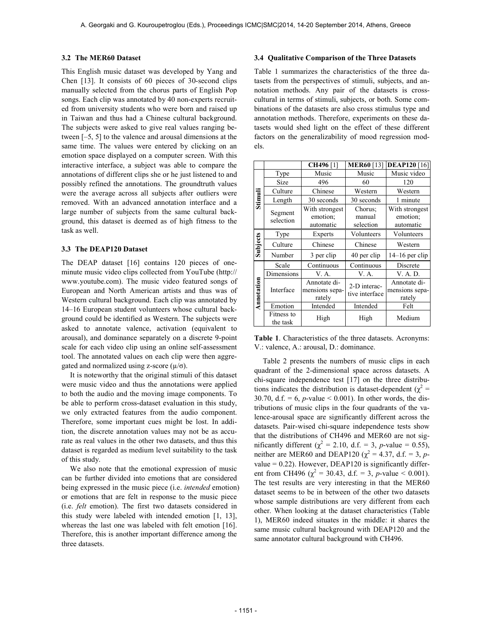#### **3.2 The MER60 Dataset**

This English music dataset was developed by Yang and Chen [13]. It consists of 60 pieces of 30-second clips manually selected from the chorus parts of English Pop songs. Each clip was annotated by 40 non-experts recruited from university students who were born and raised up in Taiwan and thus had a Chinese cultural background. The subjects were asked to give real values ranging between [–5, 5] to the valence and arousal dimensions at the same time. The values were entered by clicking on an emotion space displayed on a computer screen. With this interactive interface, a subject was able to compare the annotations of different clips she or he just listened to and possibly refined the annotations. The groundtruth values were the average across all subjects after outliers were removed. With an advanced annotation interface and a large number of subjects from the same cultural background, this dataset is deemed as of high fitness to the task as well.

#### **3.3 The DEAP120 Dataset**

The DEAP dataset [16] contains 120 pieces of oneminute music video clips collected from YouTube (http:// www.youtube.com). The music video featured songs of European and North American artists and thus was of Western cultural background. Each clip was annotated by 14–16 European student volunteers whose cultural background could be identified as Western. The subjects were asked to annotate valence, activation (equivalent to arousal), and dominance separately on a discrete 9-point scale for each video clip using an online self-assessment tool. The annotated values on each clip were then aggregated and normalized using z-score  $(\mu/\sigma)$ .

It is noteworthy that the original stimuli of this dataset were music video and thus the annotations were applied to both the audio and the moving image components. To be able to perform cross-dataset evaluation in this study, we only extracted features from the audio component. Therefore, some important cues might be lost. In addition, the discrete annotation values may not be as accurate as real values in the other two datasets, and thus this dataset is regarded as medium level suitability to the task of this study.

We also note that the emotional expression of music can be further divided into emotions that are considered being expressed in the music piece (i.e. *intended* emotion) or emotions that are felt in response to the music piece (i.e. *felt* emotion). The first two datasets considered in this study were labeled with intended emotion [1, 13], whereas the last one was labeled with felt emotion [16]. Therefore, this is another important difference among the three datasets.

## **3.4 Qualitative Comparison of the Three Datasets**

Table 1 summarizes the characteristics of the three datasets from the perspectives of stimuli, subjects, and annotation methods. Any pair of the datasets is crosscultural in terms of stimuli, subjects, or both. Some combinations of the datasets are also cross stimulus type and annotation methods. Therefore, experiments on these datasets would shed light on the effect of these different factors on the generalizability of mood regression models.

|            |                        | <b>CH496</b> [1]                         | <b>MER60</b> [13]              | <b>DEAP120</b> [16]                      |  |
|------------|------------------------|------------------------------------------|--------------------------------|------------------------------------------|--|
|            | Type                   | Music                                    | Music                          | Music video                              |  |
|            | Size                   | 496                                      | 60                             | 120                                      |  |
|            | Culture                | Chinese                                  | Western                        | Western                                  |  |
| Stimuli    | Length                 | 30 seconds                               | 30 seconds                     | 1 minute                                 |  |
|            | Segment<br>selection   | With strongest<br>emotion:<br>automatic  | Chorus:<br>manual<br>selection | With strongest<br>emotion:<br>automatic  |  |
|            | Type                   | Experts                                  | Volunteers                     | Volunteers                               |  |
| Subjects   | Culture                | Chinese                                  | Chinese                        | Western                                  |  |
|            | Number                 | 3 per clip                               | 40 per clip                    | $14-16$ per clip                         |  |
|            | Scale                  | Continuous                               | Continuous                     | Discrete                                 |  |
|            | Dimensions             | V. A.                                    | V. A.                          | V. A. D.                                 |  |
| Annotation | Interface              | Annotate di-<br>mensions sepa-<br>rately | 2-D interac-<br>tive interface | Annotate di-<br>mensions sepa-<br>rately |  |
|            | Emotion                | Intended                                 | Intended                       | Felt                                     |  |
|            | Fitness to<br>the task | High                                     | High                           | Medium                                   |  |

**Table 1**. Characteristics of the three datasets. Acronyms: V.: valence, A.: arousal, D.: dominance.

Table 2 presents the numbers of music clips in each quadrant of the 2-dimensional space across datasets. A chi-square independence test [17] on the three distributions indicates the distribution is dataset-dependent ( $\chi^2$  = 30.70, d.f. = 6,  $p$ -value < 0.001). In other words, the distributions of music clips in the four quadrants of the valence-arousal space are significantly different across the datasets. Pair-wised chi-square independence tests show that the distributions of CH496 and MER60 are not significantly different ( $\chi^2 = 2.10$ , d.f. = 3, *p*-value = 0.55), neither are MER60 and DEAP120 ( $\chi^2 = 4.37$ , d.f. = 3, *p*value  $= 0.22$ ). However, DEAP120 is significantly different from CH496 ( $\chi^2$  = 30.43, d.f. = 3, *p*-value < 0.001). The test results are very interesting in that the MER60 dataset seems to be in between of the other two datasets whose sample distributions are very different from each other. When looking at the dataset characteristics (Table 1), MER60 indeed situates in the middle: it shares the same music cultural background with DEAP120 and the same annotator cultural background with CH496.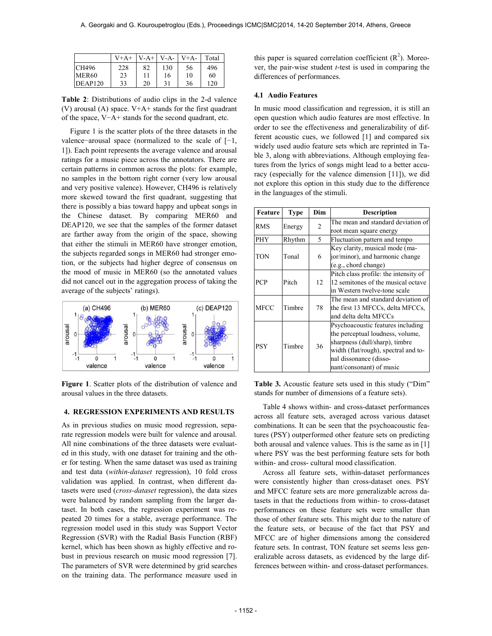|                   | $V+A+$ | $V-A+$ | $V-A-$ | $V+A-$ | Total |
|-------------------|--------|--------|--------|--------|-------|
| <b>CH496</b>      | 228    | 82     | 130    | 56     | 496   |
| MER <sub>60</sub> | 23     |        | 16     | 10     | 60    |
| DEAP120           | 33     | 20     | 31     | 36     | 120   |

**Table 2**: Distributions of audio clips in the 2-d valence (V) arousal (A) space.  $V+A+$  stands for the first quadrant of the space, V−A+ stands for the second quadrant, etc.

Figure 1 is the scatter plots of the three datasets in the valence−arousal space (normalized to the scale of [−1, 1]). Each point represents the average valence and arousal ratings for a music piece across the annotators. There are certain patterns in common across the plots: for example, no samples in the bottom right corner (very low arousal and very positive valence). However, CH496 is relatively more skewed toward the first quadrant, suggesting that there is possibly a bias toward happy and upbeat songs in the Chinese dataset. By comparing MER60 and DEAP120, we see that the samples of the former dataset are farther away from the origin of the space, showing that either the stimuli in MER60 have stronger emotion, the subjects regarded songs in MER60 had stronger emotion, or the subjects had higher degree of consensus on the mood of music in MER60 (so the annotated values did not cancel out in the aggregation process of taking the average of the subjects' ratings).



**Figure 1**. Scatter plots of the distribution of valence and arousal values in the three datasets.

# **4. REGRESSION EXPERIMENTS AND RESULTS**

As in previous studies on music mood regression, separate regression models were built for valence and arousal. All nine combinations of the three datasets were evaluated in this study, with one dataset for training and the other for testing. When the same dataset was used as training and test data (*within-dataset* regression), 10 fold cross validation was applied. In contrast, when different datasets were used (*cross-dataset* regression), the data sizes were balanced by random sampling from the larger dataset. In both cases, the regression experiment was repeated 20 times for a stable, average performance. The regression model used in this study was Support Vector Regression (SVR) with the Radial Basis Function (RBF) kernel, which has been shown as highly effective and robust in previous research on music mood regression [7]. The parameters of SVR were determined by grid searches on the training data. The performance measure used in

this paper is squared correlation coefficient  $(R^2)$ . Moreover, the pair-wise student *t*-test is used in comparing the differences of performances.

# **4.1 Audio Features**

In music mood classification and regression, it is still an open question which audio features are most effective. In order to see the effectiveness and generalizability of different acoustic cues, we followed [1] and compared six widely used audio feature sets which are reprinted in Table 3, along with abbreviations. Although employing features from the lyrics of songs might lead to a better accuracy (especially for the valence dimension [11]), we did not explore this option in this study due to the difference in the languages of the stimuli.

| Feature     | Type   | Dim            | <b>Description</b>                    |  |
|-------------|--------|----------------|---------------------------------------|--|
| <b>RMS</b>  |        | $\overline{c}$ | The mean and standard deviation of    |  |
|             | Energy |                | root mean square energy               |  |
| <b>PHY</b>  | Rhythm | 5              | Fluctuation pattern and tempo         |  |
|             |        |                | Key clarity, musical mode (ma-        |  |
| TON         | Tonal  | 6              | jor/minor), and harmonic change       |  |
|             |        |                | (e.g., chord change)                  |  |
|             |        |                | Pitch class profile: the intensity of |  |
| PCP         | Pitch  | 12             | 12 semitones of the musical octave    |  |
|             |        |                | in Western twelve-tone scale          |  |
|             |        | 78             | The mean and standard deviation of    |  |
| <b>MFCC</b> | Timbre |                | the first 13 MFCCs, delta MFCCs,      |  |
|             |        |                | and delta delta MFCCs                 |  |
|             | Timbre | 36             | Psychoacoustic features including     |  |
|             |        |                | the perceptual loudness, volume,      |  |
| PSY         |        |                | sharpness (dull/sharp), timbre        |  |
|             |        |                | width (flat/rough), spectral and to-  |  |
|             |        |                | nal dissonance (disso-                |  |
|             |        |                | nant/consonant) of music              |  |

**Table 3.** Acoustic feature sets used in this study ("Dim" stands for number of dimensions of a feature sets).

Table 4 shows within- and cross-dataset performances across all feature sets, averaged across various dataset combinations. It can be seen that the psychoacoustic features (PSY) outperformed other feature sets on predicting both arousal and valence values. This is the same as in [1] where PSY was the best performing feature sets for both within- and cross- cultural mood classification.

Across all feature sets, within-dataset performances were consistently higher than cross-dataset ones. PSY and MFCC feature sets are more generalizable across datasets in that the reductions from within- to cross-dataset performances on these feature sets were smaller than those of other feature sets. This might due to the nature of the feature sets, or because of the fact that PSY and MFCC are of higher dimensions among the considered feature sets. In contrast, TON feature set seems less generalizable across datasets, as evidenced by the large differences between within- and cross-dataset performances.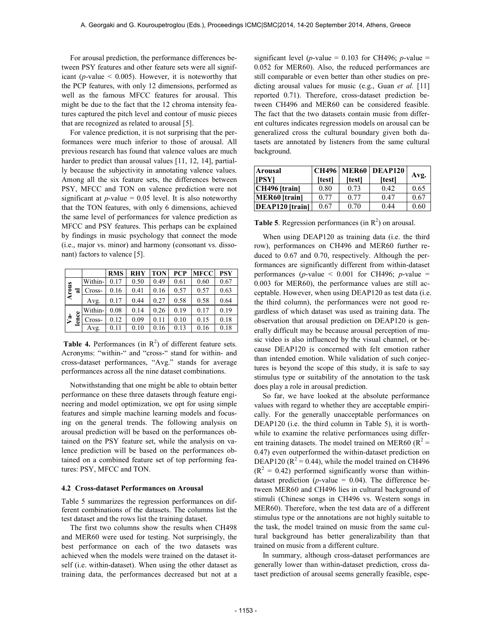For arousal prediction, the performance differences between PSY features and other feature sets were all significant ( $p$ -value  $\leq$  0.005). However, it is noteworthy that the PCP features, with only 12 dimensions, performed as well as the famous MFCC features for arousal. This might be due to the fact that the 12 chroma intensity features captured the pitch level and contour of music pieces that are recognized as related to arousal [5].

For valence prediction, it is not surprising that the performances were much inferior to those of arousal. All previous research has found that valence values are much harder to predict than arousal values [11, 12, 14], partially because the subjectivity in annotating valence values. Among all the six feature sets, the differences between PSY, MFCC and TON on valence prediction were not significant at  $p$ -value = 0.05 level. It is also noteworthy that the TON features, with only 6 dimensions, achieved the same level of performances for valence prediction as MFCC and PSY features. This perhaps can be explained by findings in music psychology that connect the mode (i.e., major vs. minor) and harmony (consonant vs. dissonant) factors to valence [5].

|                           |             |         | <b>RMS</b> | <b>RHY</b> | <b>TON</b> | <b>PCP</b> | <b>MFCC</b> | <b>PSY</b> |
|---------------------------|-------------|---------|------------|------------|------------|------------|-------------|------------|
|                           |             | Within- | 0.17       | 0.50       | 0.49       | 0.61       | 0.60        | 0.67       |
| Arous                     | ಡ           | Cross-  | 0.16       | 0.41       | 0.16       | 0.57       | 0.57        | 0.63       |
|                           |             | Avg.    | 0.17       | 0.44       | 0.27       | 0.58       | 0.58        | 0.64       |
| $\overline{\mathbf{v}}^*$ | Φ<br>ິ<br>ສ | Within- | 0.08       | 0.14       | 0.26       | 0.19       | 0.17        | 0.19       |
|                           |             | Cross-  | 0.12       | 0.09       | 0.11       | 0.10       | 0.15        | 0.18       |
|                           |             | Avg.    | 0.11       | 0.10       | 0.16       | 0.13       | 0.16        | 0.18       |

**Table 4.** Performances (in  $R^2$ ) of different feature sets. Acronyms: "within-" and "cross-" stand for within- and cross-dataset performances, "Avg." stands for average performances across all the nine dataset combinations.

Notwithstanding that one might be able to obtain better performance on these three datasets through feature engineering and model optimization, we opt for using simple features and simple machine learning models and focusing on the general trends. The following analysis on arousal prediction will be based on the performances obtained on the PSY feature set, while the analysis on valence prediction will be based on the performances obtained on a combined feature set of top performing features: PSY, MFCC and TON.

#### **4.2 Cross-dataset Performances on Arousal**

Table 5 summarizes the regression performances on different combinations of the datasets. The columns list the test dataset and the rows list the training dataset.

The first two columns show the results when CH498 and MER60 were used for testing. Not surprisingly, the best performance on each of the two datasets was achieved when the models were trained on the dataset itself (i.e. within-dataset). When using the other dataset as training data, the performances decreased but not at a significant level ( $p$ -value = 0.103 for CH496;  $p$ -value = 0.052 for MER60). Also, the reduced performances are still comparable or even better than other studies on predicting arousal values for music (e.g., Guan *et al.* [11] reported 0.71). Therefore, cross-dataset prediction between CH496 and MER60 can be considered feasible. The fact that the two datasets contain music from different cultures indicates regression models on arousal can be generalized cross the cultural boundary given both datasets are annotated by listeners from the same cultural background.

| Arousal                | CH496   MER60   DEAP120 |        |        |      |
|------------------------|-------------------------|--------|--------|------|
| <b>IPSYI</b>           | [test]                  | [test] | [test] | Avg. |
| CH496 [train]          | 0.80                    | 0.73   | 0.42   | 0.65 |
| <b>MER60</b> [train]   | 0.77                    | 0.77   | 0.47   | 0.67 |
| <b>DEAP120</b> [train] | 0.67                    | 0.70   | 0.44   | 0.60 |

**Table 5**. Regression performances (in  $R^2$ ) on arousal.

When using DEAP120 as training data (i.e. the third row), performances on CH496 and MER60 further reduced to 0.67 and 0.70, respectively. Although the performances are significantly different from within-dataset performances ( $p$ -value < 0.001 for CH496;  $p$ -value = 0.003 for MER60), the performance values are still acceptable. However, when using DEAP120 as test data (i.e. the third column), the performances were not good regardless of which dataset was used as training data. The observation that arousal prediction on DEAP120 is generally difficult may be because arousal perception of music video is also influenced by the visual channel, or because DEAP120 is concerned with felt emotion rather than intended emotion. While validation of such conjectures is beyond the scope of this study, it is safe to say stimulus type or suitability of the annotation to the task does play a role in arousal prediction.

So far, we have looked at the absolute performance values with regard to whether they are acceptable empirically. For the generally unacceptable performances on DEAP120 (i.e. the third column in Table 5), it is worthwhile to examine the relative performances using different training datasets. The model trained on MER60 ( $R^2$  = 0.47) even outperformed the within-dataset prediction on DEAP120 ( $R^2$  = 0.44), while the model trained on CH496  $(R<sup>2</sup> = 0.42)$  performed significantly worse than withindataset prediction ( $p$ -value = 0.04). The difference between MER60 and CH496 lies in cultural background of stimuli (Chinese songs in CH496 vs. Western songs in MER60). Therefore, when the test data are of a different stimulus type or the annotations are not highly suitable to the task, the model trained on music from the same cultural background has better generalizability than that trained on music from a different culture.

In summary, although cross-dataset performances are generally lower than within-dataset prediction, cross dataset prediction of arousal seems generally feasible, espe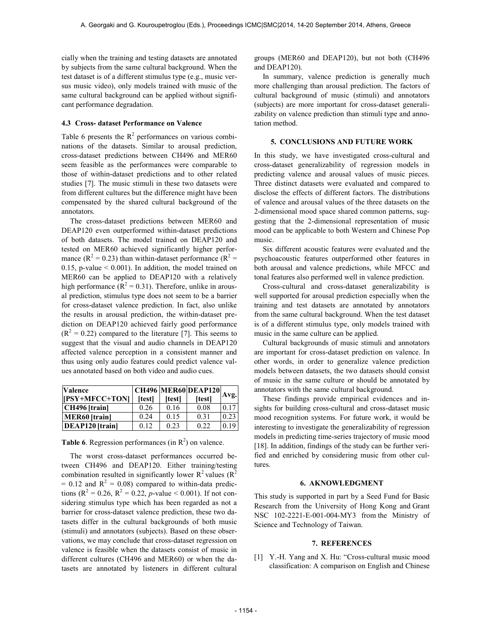cially when the training and testing datasets are annotated by subjects from the same cultural background. When the test dataset is of a different stimulus type (e.g., music versus music video), only models trained with music of the same cultural background can be applied without significant performance degradation.

# **4.3 Cross- dataset Performance on Valence**

Table 6 presents the  $R^2$  performances on various combinations of the datasets. Similar to arousal prediction, cross-dataset predictions between CH496 and MER60 seem feasible as the performances were comparable to those of within-dataset predictions and to other related studies [7]. The music stimuli in these two datasets were from different cultures but the difference might have been compensated by the shared cultural background of the annotators.

The cross-dataset predictions between MER60 and DEAP120 even outperformed within-dataset predictions of both datasets. The model trained on DEAP120 and tested on MER60 achieved significantly higher performance ( $R^2 = 0.23$ ) than within-dataset performance ( $R^2 =$ 0.15, p-value < 0.001). In addition, the model trained on MER60 can be applied to DEAP120 with a relatively high performance ( $R^2 = 0.31$ ). Therefore, unlike in arousal prediction, stimulus type does not seem to be a barrier for cross-dataset valence prediction. In fact, also unlike the results in arousal prediction, the within-dataset prediction on DEAP120 achieved fairly good performance  $(R<sup>2</sup> = 0.22)$  compared to the literature [7]. This seems to suggest that the visual and audio channels in DEAP120 affected valence perception in a consistent manner and thus using only audio features could predict valence values annotated based on both video and audio cues.

| <b>Valence</b>         |               |              | <b>CH496 MER60 DEAP120</b> |      |
|------------------------|---------------|--------------|----------------------------|------|
| [[PSY+MFCC+TON]        | <b>Itestl</b> | <b>Itest</b> | [test]                     | Avg. |
| $CH496$ [train]        | 0.26          | 0.16         | 0.08                       | 017  |
| <b>MER60</b> [train]   | 0.24          | 0.15         | 0.31                       | 0.23 |
| <b>DEAP120</b> [train] | 0.12          | 0.23         | 0.22                       | 0.19 |

**Table 6**. Regression performances (in  $R^2$ ) on valence.

The worst cross-dataset performances occurred between CH496 and DEAP120. Either training/testing combination resulted in significantly lower  $R^2$  values  $(R^2)$  $= 0.12$  and  $R^2 = 0.08$ ) compared to within-data predictions ( $R^2 = 0.26$ ,  $R^2 = 0.22$ , *p*-value < 0.001). If not considering stimulus type which has been regarded as not a barrier for cross-dataset valence prediction, these two datasets differ in the cultural backgrounds of both music (stimuli) and annotators (subjects). Based on these observations, we may conclude that cross-dataset regression on valence is feasible when the datasets consist of music in different cultures (CH496 and MER60) or when the datasets are annotated by listeners in different cultural groups (MER60 and DEAP120), but not both (CH496 and DEAP120).

In summary, valence prediction is generally much more challenging than arousal prediction. The factors of cultural background of music (stimuli) and annotators (subjects) are more important for cross-dataset generalizability on valence prediction than stimuli type and annotation method.

#### **5. CONCLUSIONS AND FUTURE WORK**

In this study, we have investigated cross-cultural and cross-dataset generalizability of regression models in predicting valence and arousal values of music pieces. Three distinct datasets were evaluated and compared to disclose the effects of different factors. The distributions of valence and arousal values of the three datasets on the 2-dimensional mood space shared common patterns, suggesting that the 2-dimensional representation of music mood can be applicable to both Western and Chinese Pop music.

Six different acoustic features were evaluated and the psychoacoustic features outperformed other features in both arousal and valence predictions, while MFCC and tonal features also performed well in valence prediction.

Cross-cultural and cross-dataset generalizability is well supported for arousal prediction especially when the training and test datasets are annotated by annotators from the same cultural background. When the test dataset is of a different stimulus type, only models trained with music in the same culture can be applied.

Cultural backgrounds of music stimuli and annotators are important for cross-dataset prediction on valence. In other words, in order to generalize valence prediction models between datasets, the two datasets should consist of music in the same culture or should be annotated by annotators with the same cultural background.

These findings provide empirical evidences and insights for building cross-cultural and cross-dataset music mood recognition systems. For future work, it would be interesting to investigate the generalizability of regression models in predicting time-series trajectory of music mood [18]. In addition, findings of the study can be further verified and enriched by considering music from other cultures.

#### **6. AKNOWLEDGMENT**

This study is supported in part by a Seed Fund for Basic Research from the University of Hong Kong and Grant NSC 102-2221-E-001-004-MY3 from the Ministry of Science and Technology of Taiwan.

# **7. REFERENCES**

[1] Y.-H. Yang and X. Hu: "Cross-cultural music mood classification: A comparison on English and Chinese